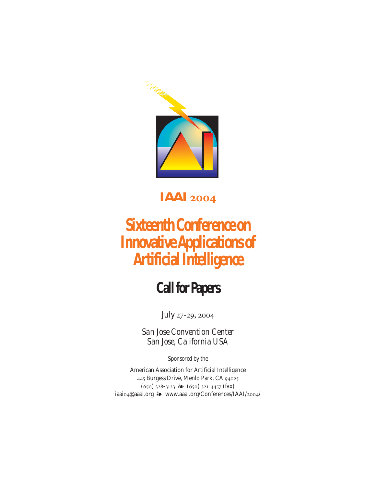

# **IAAI 2004**

# **Sixteenth Conference on Innovative Applications of Artificial Intelligence**

# **Call for Papers**

July 27-29, 2004

*San Jose Convention Center San Jose, California USA*

*Sponsored by the*

American Association for Artificial Intelligence 445 Burgess Drive, Menlo Park, CA 94025 (650) 328-3123 (650) 321-4457 (*fax*) iaaio4@aaai.org \*\* www.aaai.org/Conferences/IAAI/2004/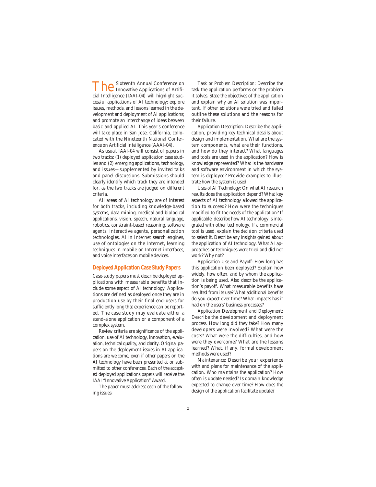**The** Sixteenth Annual Conference on<br>
Innovative Applications of Artificial Intelligence (IAAI-04) will highlight successful applications of AI technology; explore issues, methods, and lessons learned in the development and deployment of AI applications; and promote an interchange of ideas between basic and applied AI. This year's conference will take place in San Jose, California, collocated with the Nineteenth National Conference on Artificial Intelligence (AAAI-04).

As usual, IAAI-04 will consist of papers in two tracks: (1) deployed application case studies and (2) emerging applications, technology, and issues—supplemented by invited talks and panel discussions. Submissions should clearly identify which track they are intended for, as the two tracks are judged on different criteria.

All areas of AI technology are of interest for both tracks, including knowledge-based systems, data mining, medical and biological applications, vision, speech, natural language, robotics, constraint-based reasoning, software agents, interactive agents, personalization technologies, AI in Internet search engines, use of ontologies on the Internet, learning techniques in mobile or Internet interfaces, and voice interfaces on mobile devices.

## **Deployed Application Case Study Papers**

Case-study papers must describe deployed applications with measurable benefits that include some aspect of AI technology. Applications are defined as deployed once they are in production use by their final end-users for sufficiently long that experience can be reported. The case study may evaluate either a stand-alone application or a component of a complex system.

Review criteria are significance of the application, use of AI technology, innovation, evaluation, technical quality, and clarity. Original papers on the deployment issues in AI applications are welcome, even if other papers on the AI technology have been presented at or submitted to other conferences. Each of the accepted deployed applications papers will receive the IAAI "Innovative Application" Award.

The paper must address each of the following issues:

*Task or Problem Description:* Describe the task the application performs or the problem it solves. State the objectives of the application and explain why an AI solution was important. If other solutions were tried and failed outline these solutions and the reasons for their failure.

*Application Description:* Describe the application, providing key technical details about design and implementation. What are the system components, what are their functions, and how do they interact? What languages and tools are used in the application? How is knowledge represented? What is the hardware and software environment in which the system is deployed? Provide examples to illustrate how the system is used.

*Uses of AI Technology:* On what AI research results does the application depend? What key aspects of AI technology allowed the application to succeed? How were the techniques modified to fit the needs of the application? If applicable, describe how AI technology is integrated with other technology. If a commercial tool is used, explain the decision criteria used to select it. Describe any insights gained about the application of AI technology. What AI approaches or techniques were tried and did not work? Why not?

*Application Use and Payoff:* How long has this application been deployed? Explain how widely, how often, and by whom the application is being used. Also describe the application's payoff. What measurable benefits have resulted from its use? What additional benefits do you expect over time? What impacts has it had on the users' business processes?

*Application Development and Deployment:* Describe the development and deployment process. How long did they take? How many developers were involved? What were the costs? What were the difficulties, and how were they overcome? What are the lessons learned? What, if any, formal development methods were used?

*Maintenance:* Describe your experience with and plans for maintenance of the application. Who maintains the application? How often is update needed? Is domain knowledge expected to change over time? How does the design of the application facilitate update?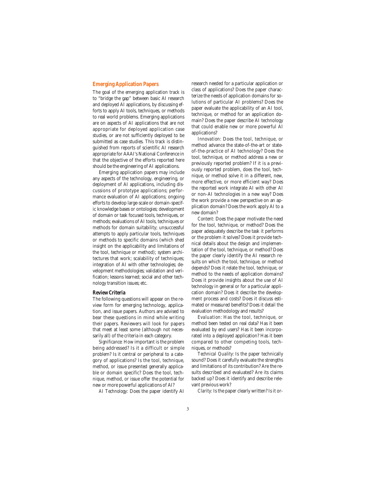# **Emerging Application Papers**

The goal of the emerging application track is to "bridge the gap" between basic AI research and deployed AI applications, by discussing efforts to apply AI tools, techniques, or methods to real world problems. Emerging applications are on aspects of AI applications that are not appropriate for deployed application case studies, or are not sufficiently deployed to be submitted as case studies. This track is distinguished from reports of scientific AI research appropriate for AAAI's National Conference in that the objective of the efforts reported here should be the engineering of AI applications.

Emerging application papers may include any aspects of the technology, engineering, or deployment of AI applications, including discussions of prototype applications; performance evaluation of AI applications; ongoing efforts to develop large-scale or domain-specific knowledge bases or ontologies; development of domain or task focused tools, techniques, or methods; evaluations of AI tools, techniques or methods for domain suitability; unsuccessful attempts to apply particular tools, techniques or methods to specific domains (which shed insight on the applicability and limitations of the tool, technique or method); system architectures that work; scalability of techniques; integration of AI with other technologies; development methodologies; validation and verification; lessons learned; social and other technology transition issues; etc.

#### **Review Criteria**

The following questions will appear on the review form for emerging technology, application, and issue papers. Authors are advised to bear these questions in mind while writing their papers. Reviewers will look for papers that meet at least some (although not necessarily all) of the criteria in each category.

*Significance:* How important is the problem being addressed? Is it a difficult or simple problem? Is it central or peripheral to a category of applications? Is the tool, technique, method, or issue presented generally applicable or domain specific? Does the tool, technique, method, or issue offer the potential for new or more powerful applications of AI?

*AI Technology:* Does the paper identify AI

research needed for a particular application or class of applications? Does the paper characterize the needs of application domains for solutions of particular AI problems? Does the paper evaluate the applicability of an AI tool, technique, or method for an application domain? Does the paper describe AI technology that could enable new or more powerful AI applications?

*Innovation:* Does the tool, technique, or method advance the state-of-the-art or stateof-the-practice of AI technology? Does the tool, technique, or method address a new or previously reported problem? If it is a previously reported problem, does the tool, technique, or method solve it in a different, new, more effective, or more efficient way? Does the reported work integrate AI with other AI or non-AI technologies in a new way? Does the work provide a new perspective on an application domain? Does the work apply AI to a new domain?

*Content:* Does the paper motivate the need for the tool, technique, or method? Does the paper adequately describe the task it performs or the problem it solves? Does it provide technical details about the design and implementation of the tool, technique, or method? Does the paper clearly identify the AI research results on which the tool, technique, or method depends? Does it relate the tool, technique, or method to the needs of application domains? Does it provide insights about the use of AI technology in general or for a particular application domain? Does it describe the development process and costs? Does it discuss estimated or measured benefits? Does it detail the evaluation methodology and results?

*Evaluation:* Has the tool, technique, or method been tested on real data? Has it been evaluated by end users? Has it been incorporated into a deployed application? Has it been compared to other competing tools, techniques, or methods?

*Technical Quality:* Is the paper technically sound? Does it carefully evaluate the strengths and limitations of its contribution? Are the results described and evaluated? Are its claims backed up? Does it identify and describe relevant previous work?

*Clarity:* Is the paper clearly written? Is it or-